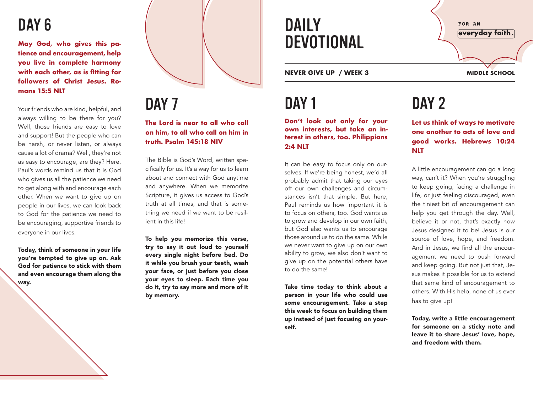### DAY<sub>6</sub>

**May God, who gives this patience and encouragement, help you live in complete harmony with each other, as is fitting for followers of Christ Jesus. Romans 15:5 NLT** 

Your friends who are kind, helpful, and always willing to be there for you? Well, those friends are easy to love and support! But the people who can be harsh, or never listen, or always cause a lot of drama? Well, they're not as easy to encourage, are they? Here, Paul's words remind us that it is God who gives us all the patience we need to get along with and encourage each other. When we want to give up on people in our lives, we can look back to God for the patience we need to be encouraging, supportive friends to everyone in our lives.

Today, think of someone in your life you're tempted to give up on. Ask God for patience to stick with them and even encourage them along the way.



DAY<sub>7</sub>

**The Lord is near to all who call on him, to all who call on him in truth. Psalm 145:18 NIV**

The Bible is God's Word, written specifically for us. It's a way for us to learn about and connect with God anytime and anywhere. When we memorize Scripture, it gives us access to God's truth at all times, and that is something we need if we want to be resilient in this life!

To help you memorize this verse, try to say it out loud to yourself every single night before bed. Do it while you brush your teeth, wash your face, or just before you close your eyes to sleep. Each time you do it, try to say more and more of it by memory.

DAILY DEVOTIONAL

**NEVER GIVE UP / WEEK 3 MIDDLE SCHOOL**

## DAY<sub>1</sub>

**Don't look out only for your own interests, but take an interest in others, too. Philippians 2:4 NLT** 

It can be easy to focus only on ourselves. If we're being honest, we'd all probably admit that taking our eyes off our own challenges and circumstances isn't that simple. But here, Paul reminds us how important it is to focus on others, too. God wants us to grow and develop in our own faith, but God also wants us to encourage those around us to do the same. While we never want to give up on our own ability to grow, we also don't want to give up on the potential others have to do the same!

Take time today to think about a person in your life who could use some encouragement. Take a step this week to focus on building them up instead of just focusing on yourself.

FOR AN everyday faith.

# DAY<sub>2</sub>

**Let us think of ways to motivate one another to acts of love and good works. Hebrews 10:24 NLT** 

A little encouragement can go a long way, can't it? When you're struggling to keep going, facing a challenge in life, or just feeling discouraged, even the tiniest bit of encouragement can help you get through the day. Well, believe it or not, that's exactly how Jesus designed it to be! Jesus is our source of love, hope, and freedom. And in Jesus, we find all the encouragement we need to push forward and keep going. But not just that, Jesus makes it possible for us to extend that same kind of encouragement to others. With His help, none of us ever has to give up!

Today, write a little encouragement for someone on a sticky note and leave it to share Jesus' love, hope, and freedom with them.